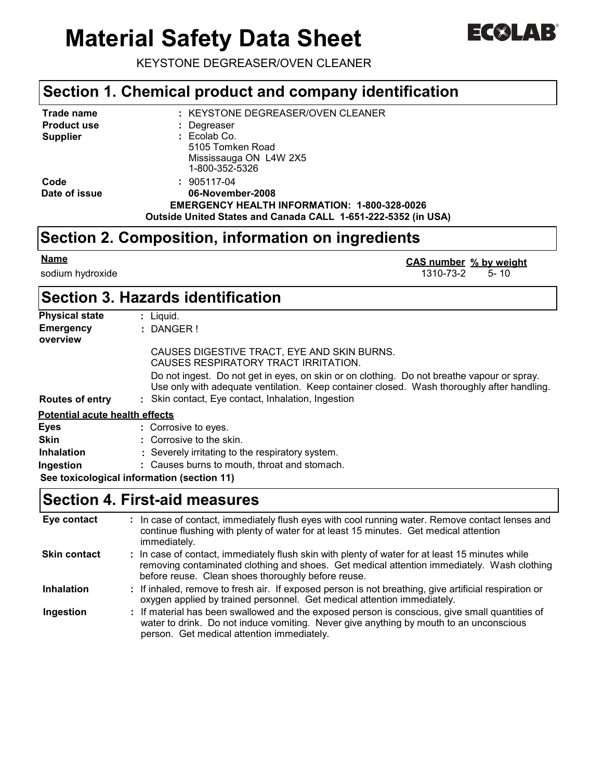# **Material Safety Data Sheet**



KEYSTONE DEGREASER/OVEN CLEANER

### **Section 1. Chemical product and company identification**

| Trade name         | : KEYSTONE DEGREASER/OVEN CLEANER                             |
|--------------------|---------------------------------------------------------------|
| <b>Product use</b> | : Degreaser                                                   |
| <b>Supplier</b>    | $: Ecolab$ Co.                                                |
|                    | 5105 Tomken Road                                              |
|                    | Mississauga ON L4W 2X5                                        |
|                    | 1-800-352-5326                                                |
| Code               | : 905117-04                                                   |
| Date of issue      | 06-November-2008                                              |
|                    | <b>EMERGENCY HEALTH INFORMATION: 1-800-328-0026</b>           |
|                    | Outside United States and Canada CALL 1-651-222-5352 (in USA) |

# **Section 2. Composition, information on ingredients**

sodium hydroxide 1310-73-2 5- 10 **CAS number** % by weight

# **Section 3. Hazards identification**

| <b>Physical state</b>                 | $:$ Liquid.                                                                                                                                                                              |
|---------------------------------------|------------------------------------------------------------------------------------------------------------------------------------------------------------------------------------------|
| <b>Emergency</b>                      | $:$ DANGER!                                                                                                                                                                              |
| overview                              |                                                                                                                                                                                          |
|                                       | CAUSES DIGESTIVE TRACT, EYE AND SKIN BURNS.<br>CAUSES RESPIRATORY TRACT IRRITATION.                                                                                                      |
|                                       | Do not ingest. Do not get in eyes, on skin or on clothing. Do not breathe vapour or spray.<br>Use only with adequate ventilation. Keep container closed. Wash thoroughly after handling. |
| <b>Routes of entry</b>                | : Skin contact, Eye contact, Inhalation, Ingestion                                                                                                                                       |
| <b>Potential acute health effects</b> |                                                                                                                                                                                          |
| <b>Eyes</b>                           | : Corrosive to eyes.                                                                                                                                                                     |
| <b>Skin</b>                           | : Corrosive to the skin.                                                                                                                                                                 |
| <b>Inhalation</b>                     | : Severely irritating to the respiratory system.                                                                                                                                         |
| Ingestion                             | : Causes burns to mouth, throat and stomach.                                                                                                                                             |
|                                       |                                                                                                                                                                                          |

**See toxicological information (section 11)**

### **Section 4. First-aid measures**

| Eye contact         | : In case of contact, immediately flush eyes with cool running water. Remove contact lenses and<br>continue flushing with plenty of water for at least 15 minutes. Get medical attention<br>immediately.                                            |
|---------------------|-----------------------------------------------------------------------------------------------------------------------------------------------------------------------------------------------------------------------------------------------------|
| <b>Skin contact</b> | : In case of contact, immediately flush skin with plenty of water for at least 15 minutes while<br>removing contaminated clothing and shoes. Get medical attention immediately. Wash clothing<br>before reuse. Clean shoes thoroughly before reuse. |
| <b>Inhalation</b>   | : If inhaled, remove to fresh air. If exposed person is not breathing, give artificial respiration or<br>oxygen applied by trained personnel. Get medical attention immediately.                                                                    |
| Ingestion           | : If material has been swallowed and the exposed person is conscious, give small quantities of<br>water to drink. Do not induce vomiting. Never give anything by mouth to an unconscious<br>person. Get medical attention immediately.              |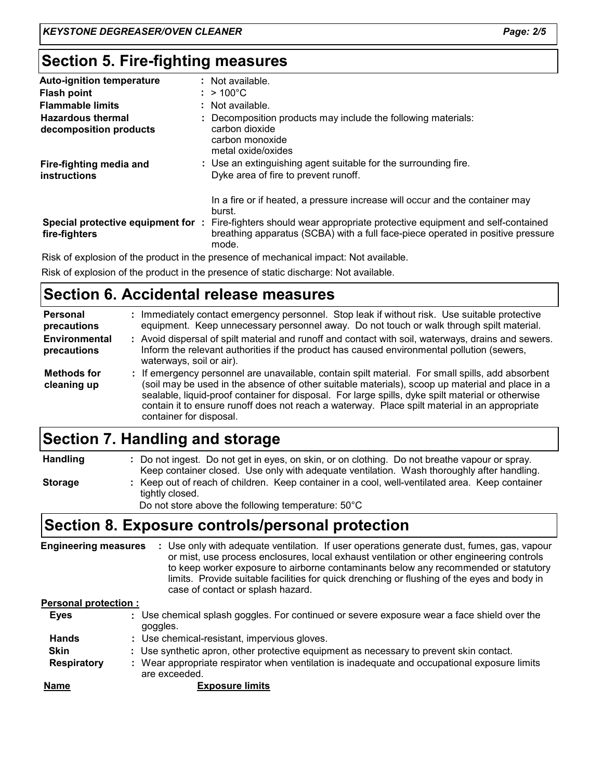# **Section 5. Fire-fighting measures**

| <b>Auto-ignition temperature</b>                   | : Not available.                                                                                                                                                          |
|----------------------------------------------------|---------------------------------------------------------------------------------------------------------------------------------------------------------------------------|
| <b>Flash point</b>                                 | $: > 100^{\circ}$ C                                                                                                                                                       |
| <b>Flammable limits</b>                            | : Not available.                                                                                                                                                          |
| <b>Hazardous thermal</b><br>decomposition products | : Decomposition products may include the following materials:<br>carbon dioxide<br>carbon monoxide<br>metal oxide/oxides                                                  |
| Fire-fighting media and<br>instructions            | : Use an extinguishing agent suitable for the surrounding fire.<br>Dyke area of fire to prevent runoff.                                                                   |
|                                                    | In a fire or if heated, a pressure increase will occur and the container may<br>burst.                                                                                    |
| Special protective equipment for:<br>fire-fighters | Fire-fighters should wear appropriate protective equipment and self-contained<br>breathing apparatus (SCBA) with a full face-piece operated in positive pressure<br>mode. |

Risk of explosion of the product in the presence of mechanical impact: Not available.

Risk of explosion of the product in the presence of static discharge: Not available.

### **Section 6. Accidental release measures**

| <b>Personal</b><br>precautions      | Immediately contact emergency personnel. Stop leak if without risk. Use suitable protective<br>equipment. Keep unnecessary personnel away. Do not touch or walk through spilt material.                                                                                                                                                                                                                                               |
|-------------------------------------|---------------------------------------------------------------------------------------------------------------------------------------------------------------------------------------------------------------------------------------------------------------------------------------------------------------------------------------------------------------------------------------------------------------------------------------|
| <b>Environmental</b><br>precautions | : Avoid dispersal of spilt material and runoff and contact with soil, waterways, drains and sewers.<br>Inform the relevant authorities if the product has caused environmental pollution (sewers,<br>waterways, soil or air).                                                                                                                                                                                                         |
| <b>Methods for</b><br>cleaning up   | : If emergency personnel are unavailable, contain spilt material. For small spills, add absorbent<br>(soil may be used in the absence of other suitable materials), scoop up material and place in a<br>sealable, liquid-proof container for disposal. For large spills, dyke spilt material or otherwise<br>contain it to ensure runoff does not reach a waterway. Place spilt material in an appropriate<br>container for disposal. |

# **Section 7. Handling and storage**

**Handling**

**Storage**

**:** Keep out of reach of children. Keep container in a cool, well-ventilated area. Keep container tightly closed. Do not ingest. Do not get in eyes, on skin, or on clothing. Do not breathe vapour or spray. **:** Keep container closed. Use only with adequate ventilation. Wash thoroughly after handling.

Do not store above the following temperature: 50°C

### **Section 8. Exposure controls/personal protection**

**Engineering measures :**Use only with adequate ventilation. If user operations generate dust, fumes, gas, vapour or mist, use process enclosures, local exhaust ventilation or other engineering controls to keep worker exposure to airborne contaminants below any recommended or statutory limits. Provide suitable facilities for quick drenching or flushing of the eyes and body in case of contact or splash hazard.

#### **Personal protection :**

| <b>Eyes</b>  | : Use chemical splash goggles. For continued or severe exposure wear a face shield over the<br>goggles.        |
|--------------|----------------------------------------------------------------------------------------------------------------|
| <b>Hands</b> | : Use chemical-resistant, impervious gloves.                                                                   |
| <b>Skin</b>  | : Use synthetic apron, other protective equipment as necessary to prevent skin contact.                        |
| Respiratory  | : Wear appropriate respirator when ventilation is inadequate and occupational exposure limits<br>are exceeded. |
| <b>Name</b>  | <b>Exposure limits</b>                                                                                         |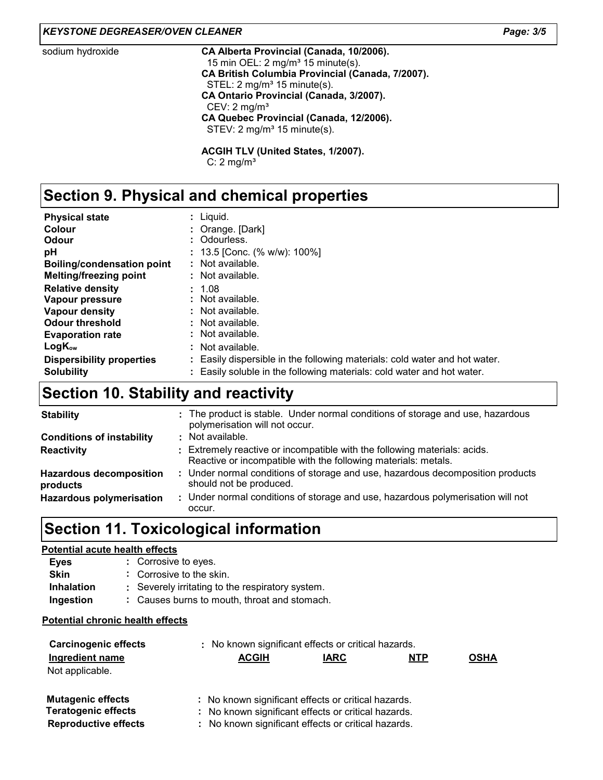#### *KEYSTONE DEGREASER/OVEN CLEANER Page: 3/5*

#### sodium hydroxide **CA Alberta Provincial (Canada, 10/2006).** 15 min OEL:  $2 \text{ mg/m}^3$  15 minute(s). **CA British Columbia Provincial (Canada, 7/2007).** STEL: 2 mg/m<sup>3</sup> 15 minute(s). **CA Ontario Provincial (Canada, 3/2007).** CEV: 2 mg/m<sup>3</sup> **CA Quebec Provincial (Canada, 12/2006).** STEV: 2 mg/m<sup>3</sup> 15 minute(s).

**ACGIH TLV (United States, 1/2007).** C:  $2 \text{ mg/m}^3$ 

# **Section 9. Physical and chemical properties**

| <b>Physical state</b>             | : Liguid.                                                                  |
|-----------------------------------|----------------------------------------------------------------------------|
| Colour                            | : Orange. [Dark]                                                           |
| Odour                             | : Odourless.                                                               |
| рH                                | : 13.5 [Conc. (% w/w): 100%]                                               |
| <b>Boiling/condensation point</b> | : Not available.                                                           |
| <b>Melting/freezing point</b>     | : Not available.                                                           |
| <b>Relative density</b>           | : 1.08                                                                     |
| Vapour pressure                   | : Not available.                                                           |
| Vapour density                    | : Not available.                                                           |
| <b>Odour threshold</b>            | : Not available.                                                           |
| <b>Evaporation rate</b>           | : Not available.                                                           |
| $LogK_{ow}$                       | : Not available.                                                           |
| <b>Dispersibility properties</b>  | : Easily dispersible in the following materials: cold water and hot water. |
| <b>Solubility</b>                 | : Easily soluble in the following materials: cold water and hot water.     |

### **Section 10. Stability and reactivity**

| <b>Stability</b>                           | : The product is stable. Under normal conditions of storage and use, hazardous<br>polymerisation will not occur.                            |
|--------------------------------------------|---------------------------------------------------------------------------------------------------------------------------------------------|
| <b>Conditions of instability</b>           | : Not available.                                                                                                                            |
| <b>Reactivity</b>                          | : Extremely reactive or incompatible with the following materials: acids.<br>Reactive or incompatible with the following materials: metals. |
| <b>Hazardous decomposition</b><br>products | : Under normal conditions of storage and use, hazardous decomposition products<br>should not be produced.                                   |
| <b>Hazardous polymerisation</b>            | : Under normal conditions of storage and use, hazardous polymerisation will not<br>occur.                                                   |

# **Section 11. Toxicological information**

#### **Potential acute health effects**

| Eyes              | : Corrosive to eyes.                             |
|-------------------|--------------------------------------------------|
| <b>Skin</b>       | : Corrosive to the skin.                         |
| <b>Inhalation</b> | : Severely irritating to the respiratory system. |
| Ingestion         | : Causes burns to mouth, throat and stomach.     |

#### **Potential chronic health effects**

| <b>Carcinogenic effects</b>        | : No known significant effects or critical hazards. |             |            |             |
|------------------------------------|-----------------------------------------------------|-------------|------------|-------------|
| Ingredient name<br>Not applicable. | <b>ACGIH</b>                                        | <b>IARC</b> | <b>NTP</b> | <b>OSHA</b> |
| <b>Mutagenic effects</b>           | : No known significant effects or critical hazards. |             |            |             |
| <b>Teratogenic effects</b>         | : No known significant effects or critical hazards. |             |            |             |
| <b>Reproductive effects</b>        | : No known significant effects or critical hazards. |             |            |             |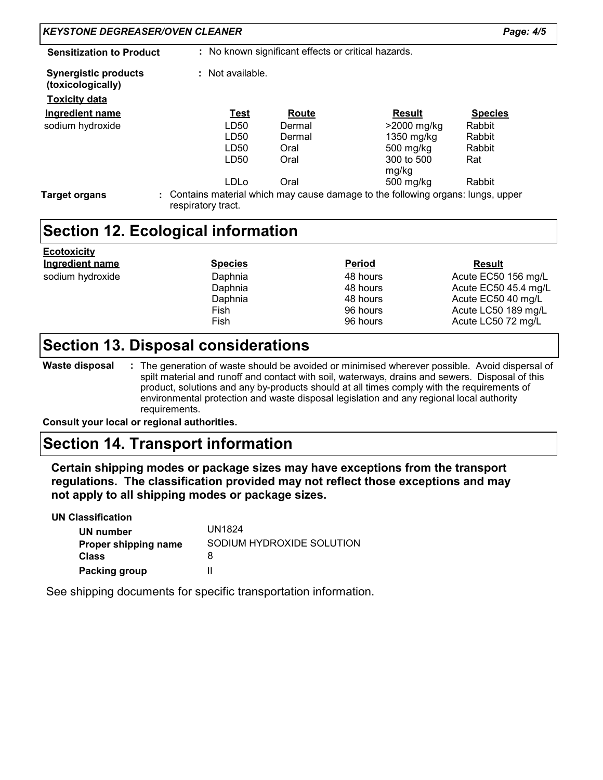| <b>KEYSTONE DEGREASER/OVEN CLEANER</b>                          |                    |        |                                                                                                                                                                                                                                                                                               | Page: 4/5                                  |
|-----------------------------------------------------------------|--------------------|--------|-----------------------------------------------------------------------------------------------------------------------------------------------------------------------------------------------------------------------------------------------------------------------------------------------|--------------------------------------------|
| <b>Sensitization to Product</b>                                 |                    |        | : No known significant effects or critical hazards.                                                                                                                                                                                                                                           |                                            |
| <b>Synergistic products</b><br>(toxicologically)                | : Not available.   |        |                                                                                                                                                                                                                                                                                               |                                            |
| <b>Toxicity data</b>                                            |                    |        |                                                                                                                                                                                                                                                                                               |                                            |
| <b>Ingredient name</b>                                          | <b>Test</b>        | Route  | <b>Result</b>                                                                                                                                                                                                                                                                                 | <b>Species</b>                             |
| sodium hydroxide                                                | LD50               | Dermal | >2000 mg/kg                                                                                                                                                                                                                                                                                   | Rabbit                                     |
|                                                                 | LD50               | Dermal | 1350 mg/kg                                                                                                                                                                                                                                                                                    | Rabbit                                     |
|                                                                 | LD50               | Oral   | 500 mg/kg                                                                                                                                                                                                                                                                                     | Rabbit                                     |
|                                                                 | LD50               | Oral   | 300 to 500                                                                                                                                                                                                                                                                                    | Rat                                        |
|                                                                 |                    |        | mg/kg                                                                                                                                                                                                                                                                                         |                                            |
|                                                                 | LDLo               | Oral   | 500 mg/kg                                                                                                                                                                                                                                                                                     | Rabbit                                     |
| <b>Section 12. Ecological information</b><br><u>Ecotoxicity</u> |                    |        |                                                                                                                                                                                                                                                                                               |                                            |
| Ingredient name                                                 | <b>Species</b>     |        | <b>Period</b>                                                                                                                                                                                                                                                                                 | <b>Result</b>                              |
| sodium hydroxide                                                | Daphnia            |        | 48 hours                                                                                                                                                                                                                                                                                      | Acute EC50 156 mg/L                        |
|                                                                 | Daphnia<br>Daphnia |        | 48 hours<br>48 hours                                                                                                                                                                                                                                                                          | Acute EC50 45.4 mg/L<br>Acute EC50 40 mg/L |
|                                                                 | Fish               |        | 96 hours                                                                                                                                                                                                                                                                                      | Acute LC50 189 mg/L                        |
|                                                                 | Fish               |        | 96 hours                                                                                                                                                                                                                                                                                      | Acute LC50 72 mg/L                         |
|                                                                 |                    |        |                                                                                                                                                                                                                                                                                               |                                            |
| <b>Section 13. Disposal considerations</b>                      |                    |        |                                                                                                                                                                                                                                                                                               |                                            |
| <b>Waste disposal</b>                                           |                    |        | The generation of waste should be avoided or minimised wherever possible. Avoid dispersal of<br>spilt material and runoff and contact with soil, waterways, drains and sewers. Disposal of this<br>product, solutions and any by-products should at all times comply with the requirements of |                                            |

### **Section 14. Transport information**

**Certain shipping modes or package sizes may have exceptions from the transport regulations. The classification provided may not reflect those exceptions and may not apply to all shipping modes or package sizes.**

**UN Classification UN number Proper shipping name Class Packing group** UN1824 SODIUM HYDROXIDE SOLUTION 8 II Not

See shipping documents for specific transportation information.